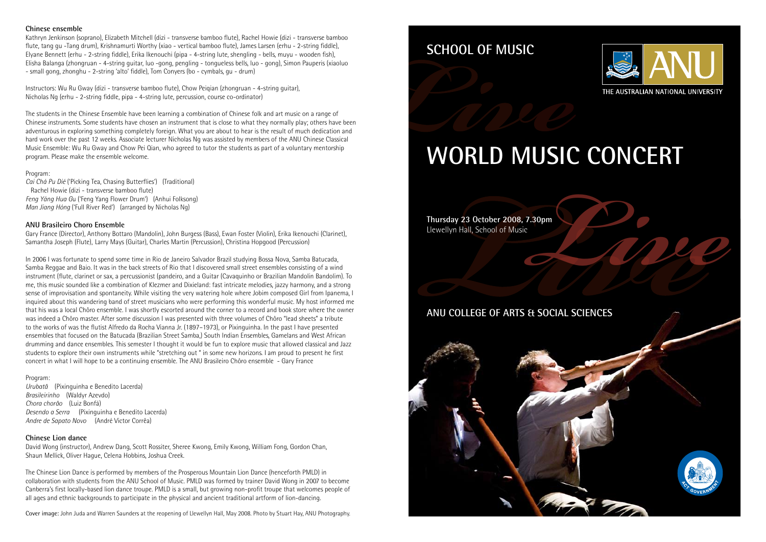# **SCHOOL OF MUSIC**

## **ANU COLLEGE OF ARTS & SOCIAL SCIENCES**

### **Chinese ensemble**

Kathryn Jenkinson (soprano), Elizabeth Mitchell (dizi - transverse bamboo flute), Rachel Howie (dizi - transverse bamboo flute, tang gu -Tang drum), Krishnamurti Worthy (xiao - vertical bamboo flute), James Larsen (erhu - 2-string fiddle), Elyane Bennett (erhu - 2-string fiddle), Erika Ikenouchi (pipa - 4-string lute, shengling - bells, muyu - wooden fish), Elisha Balanga (zhongruan - 4-string guitar, luo -gong, pengling - tongueless bells, luo - gong), Simon Pauperis (xiaoluo - small gong, zhonghu - 2-string 'alto' fiddle), Tom Conyers (bo - cymbals, gu - drum)

Instructors: Wu Ru Gway (dizi - transverse bamboo flute), Chow Peiqian (zhongruan - 4-string guitar), Nicholas Ng (erhu - 2-string fiddle, pipa - 4-string lute, percussion, course co-ordinator)

The students in the Chinese Ensemble have been learning a combination of Chinese folk and art music on a range of Chinese instruments. Some students have chosen an instrument that is close to what they normally play; others have been adventurous in exploring something completely foreign. What you are about to hear is the result of much dedication and hard work over the past 12 weeks. Associate lecturer Nicholas Ng was assisted by members of the ANU Chinese Classical Music Ensemble: Wu Ru Gway and Chow Pei Qian, who agreed to tutor the students as part of a voluntary mentorship program. Please make the ensemble welcome.

### Program:

*Cai Chá Pu Dié* ('Picking Tea, Chasing Butterflies') (Traditional) Rachel Howie (dizi - transverse bamboo flute) *Feng Yáng Hua G*u ('Feng Yang Flower Drum') (Anhui Folksong) *Man Jiang Hóng* ('Full River Red') (arranged by Nicholas Ng)

### **ANU Brasileiro Choro Ensemble**

Gary France (Director), Anthony Bottaro (Mandolin), John Burgess (Bass), Ewan Foster (Violin), Erika Ikenouchi (Clarinet), Samantha Joseph (Flute), Larry Mays (Guitar), Charles Martin (Percussion), Christina Hopgood (Percussion)

# **WORLD MUSIC CONCERT LIVEL SCHOOL OF MUSIC**

In 2006 I was fortunate to spend some time in Rio de Janeiro Salvador Brazil studying Bossa Nova, Samba Batucada, Samba Reggae and Baio. It was in the back streets of Rio that I discovered small street ensembles consisting of a wind instrument (flute, clarinet or sax, a percussionist (pandeiro, and a Guitar (Cavaquinho or Brazilian Mandolin Bandolim). To me, this music sounded like a combination of Klezmer and Dixieland: fast intricate melodies, jazzy harmony, and a strong sense of improvisation and spontaneity. While visiting the very watering hole where Jobim composed Girl from Ipanema, I inquired about this wandering band of street musicians who were performing this wonderful music. My host informed me that his was a local Chôro ensemble. I was shortly escorted around the corner to a record and book store where the owner was indeed a Chôro master. After some discussion I was presented with three volumes of Chôro "lead sheets" a tribute to the works of was the flutist Alfredo da Rocha Vianna Jr. (1897–1973), or Pixinguinha. In the past I have presented ensembles that focused on the Batucada (Brazilian Street Samba,) South Indian Ensembles, Gamelans and West African drumming and dance ensembles. This semester I thought it would be fun to explore music that allowed classical and Jazz students to explore their own instruments while "stretching out " in some new horizons. I am proud to present he first concert in what I will hope to be a continuing ensemble. The ANU Brasileiro Chôro ensemble - Gary France

### Program:

*Urubatã* (Pixinguinha e Benedito Lacerda) *Brasileirinho* (Waldyr Azevdo) *Chora chorão* (Luiz Bonfá) *Desendo a Serra* (Pixinguinha e Benedito Lacerda) *Andre de Sapato Novo* (André Victor Corrêa)

### **Chinese Lion dance**

David Wong (instructor), Andrew Dang, Scott Rossiter, Sheree Kwong, Emily Kwong, William Fong, Gordon Chan, Shaun Mellick, Oliver Hague, Celena Hobbins, Joshua Creek.

The Chinese Lion Dance is performed by members of the Prosperous Mountain Lion Dance (henceforth PMLD) in collaboration with students from the ANU School of Music. PMLD was formed by trainer David Wong in 2007 to become Canberra's first locally-based lion dance troupe. PMLD is a small, but growing non-profit troupe that welcomes people of all ages and ethnic backgrounds to participate in the physical and ancient traditional artform of lion-dancing.

Cover image: John Juda and Warren Saunders at the reopening of Llewellyn Hall, May 2008. Photo by Stuart Hay, ANU Photography.





THE AUSTRALIAN NATIONAL UNIVERSITY





**Thursday 23 October 2008, 7.30pm** Llewellyn Hall, School of Music